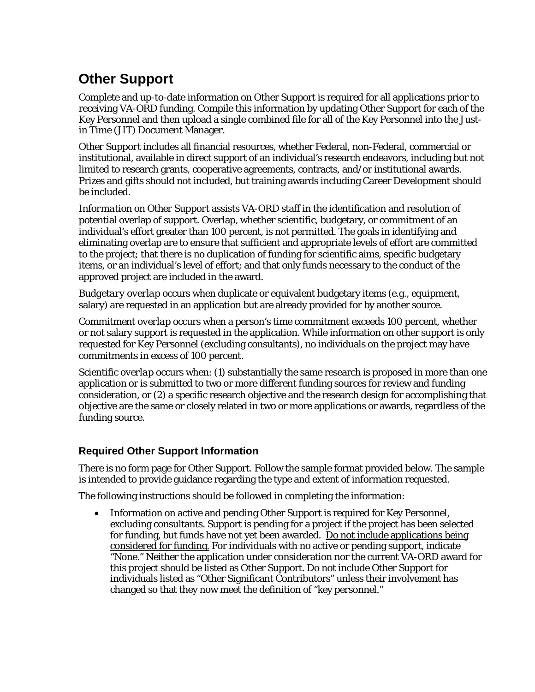# **Other Support**

Complete and up-to-date information on Other Support is required for all applications prior to receiving VA-ORD funding. Compile this information by updating Other Support for each of the Key Personnel and then upload a single combined file for all of the Key Personnel into the Justin Time (JIT) Document Manager.

*Other Support* includes all financial resources, whether Federal, non-Federal, commercial or institutional, available in direct support of an individual's research endeavors, including but not limited to research grants, cooperative agreements, contracts, and/or institutional awards. Prizes and gifts should not included, but training awards including Career Development should be included.

*Information on Other Support* assists VA-ORD staff in the identification and resolution of potential overlap of support. Overlap, whether scientific, budgetary, or commitment of an individual's effort greater than 100 percent, is not permitted. The goals in identifying and eliminating overlap are to ensure that sufficient and appropriate levels of effort are committed to the project; that there is no duplication of funding for scientific aims, specific budgetary items, or an individual's level of effort; and that only funds necessary to the conduct of the approved project are included in the award.

*Budgetary overlap* occurs when duplicate or equivalent budgetary items (e.g., equipment, salary) are requested in an application but are already provided for by another source.

*Commitment overlap* occurs when a person's time commitment exceeds 100 percent, whether or not salary support is requested in the application. While information on other support is only requested for Key Personnel (excluding consultants), no individuals on the project may have commitments in excess of 100 percent.

*Scientific overlap* occurs when: (1) substantially the same research is proposed in more than one application or is submitted to two or more different funding sources for review and funding consideration, or (2) a specific research objective and the research design for accomplishing that objective are the same or closely related in two or more applications or awards, regardless of the funding source.

# **Required Other Support Information**

There is no form page for Other Support. Follow the sample format provided below. The sample is intended to provide guidance regarding the type and extent of information requested.

The following instructions should be followed in completing the information:

• Information on active and pending Other Support is required for Key Personnel, excluding consultants. Support is pending for a project if the project has been selected for funding, but funds have not yet been awarded. Do not include applications being considered for funding. For individuals with no active or pending support, indicate "None." Neither the application under consideration nor the current VA-ORD award for this project should be listed as Other Support. Do not include Other Support for individuals listed as "Other Significant Contributors" unless their involvement has changed so that they now meet the definition of "key personnel."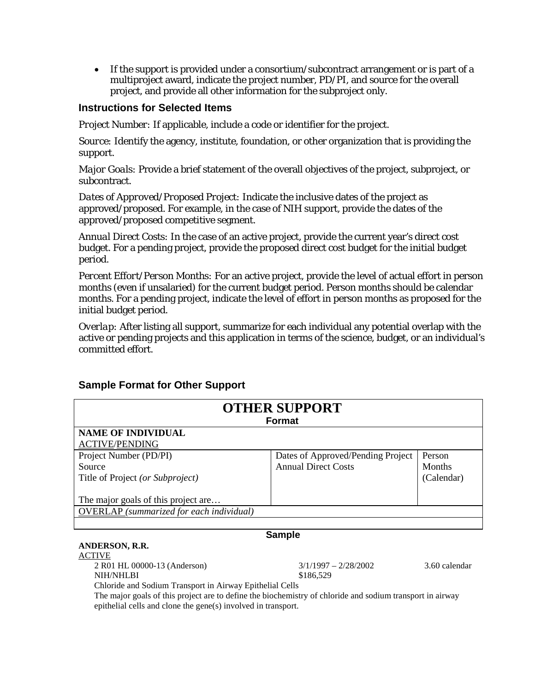• If the support is provided under a consortium/subcontract arrangement or is part of a multiproject award, indicate the project number, PD/PI, and source for the overall project, and provide all other information for the subproject only.

## **Instructions for Selected Items**

*Project Number:* If applicable, include a code or identifier for the project.

*Source:* Identify the agency, institute, foundation, or other organization that is providing the support.

*Major Goals:* Provide a brief statement of the overall objectives of the project, subproject, or subcontract.

*Dates of Approved/Proposed Project:* Indicate the inclusive dates of the project as approved/proposed. For example, in the case of NIH support, provide the dates of the approved/proposed competitive segment.

*Annual Direct Costs:* In the case of an active project, provide the current year's direct cost budget. For a pending project, provide the proposed direct cost budget for the initial budget period.

*Percent Effort/Person Months:* For an active project, provide the level of actual effort in person months (even if unsalaried) for the current budget period. Person months should be calendar months. For a pending project, indicate the level of effort in person months as proposed for the initial budget period.

*Overlap:* After listing all support, summarize for each individual any potential overlap with the active or pending projects and this application in terms of the science, budget, or an individual's committed effort.

| <b>OTHER SUPPORT</b><br><b>Format</b>           |                                   |            |  |
|-------------------------------------------------|-----------------------------------|------------|--|
|                                                 |                                   |            |  |
| <b>ACTIVE/PENDING</b>                           |                                   |            |  |
| Project Number (PD/PI)                          | Dates of Approved/Pending Project | Person     |  |
| Source                                          | <b>Annual Direct Costs</b>        | Months     |  |
| Title of Project (or Subproject)                |                                   | (Calendar) |  |
|                                                 |                                   |            |  |
| The major goals of this project are             |                                   |            |  |
| <b>OVERLAP</b> (summarized for each individual) |                                   |            |  |
|                                                 |                                   |            |  |

# **Sample Format for Other Support**

#### **Sample**

### **ANDERSON, R.R.**

ACTIVE

2 R01 HL 00000-13 (Anderson) 3/1/1997 – 2/28/2002 3.60 calendar

NIH/NHLBI \$186,529 Chloride and Sodium Transport in Airway Epithelial Cells

The major goals of this project are to define the biochemistry of chloride and sodium transport in airway epithelial cells and clone the gene(s) involved in transport.